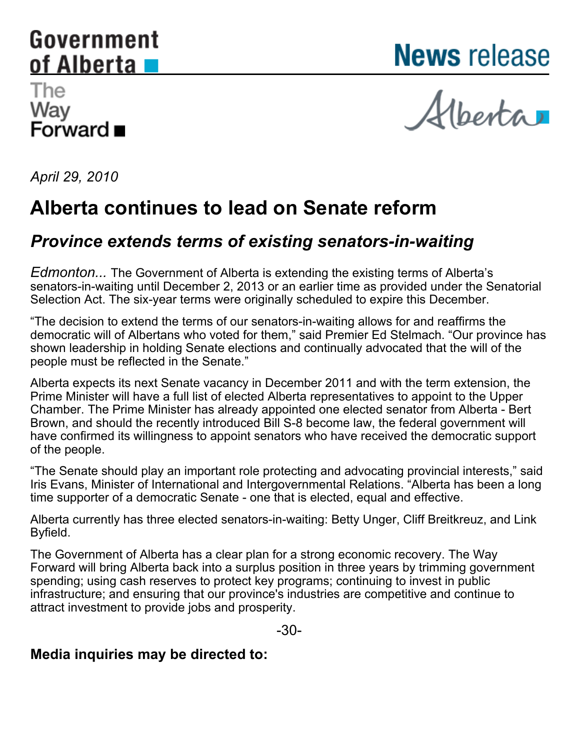# <span id="page-0-0"></span>Government of Alberta

**News** release

## The Way Forward ■

Alberta

*April 29, 2010*

## **Alberta continues to lead on Senate reform**

### *Province extends terms of existing senators-in-waiting*

*Edmonton...* The Government of Alberta is extending the existing terms of Alberta's senators-in-waiting until December 2, 2013 or an earlier time as provided under the Senatorial Selection Act. The six-year terms were originally scheduled to expire this December.

"The decision to extend the terms of our senators-in-waiting allows for and reaffirms the democratic will of Albertans who voted for them," said Premier Ed Stelmach. "Our province has shown leadership in holding Senate elections and continually advocated that the will of the people must be reflected in the Senate."

Alberta expects its next Senate vacancy in December 2011 and with the term extension, the Prime Minister will have a full list of elected Alberta representatives to appoint to the Upper Chamber. The Prime Minister has already appointed one elected senator from Alberta - Bert Brown, and should the recently introduced Bill S-8 become law, the federal government will have confirmed its willingness to appoint senators who have received the democratic support of the people.

"The Senate should play an important role protecting and advocating provincial interests," said Iris Evans, Minister of International and Intergovernmental Relations. "Alberta has been a long time supporter of a democratic Senate - one that is elected, equal and effective.

Alberta currently has three elected senators-in-waiting: Betty Unger, Cliff Breitkreuz, and Link Byfield.

The Government of Alberta has a clear plan for a strong economic recovery. The Way Forward will bring Alberta back into a surplus position in three years by trimming government spending; using cash reserves to protect key programs; continuing to invest in public infrastructure; and ensuring that our province's industries are competitive and continue to attract investment to provide jobs and prosperity.

-30-

#### **Media inquiries may be directed to:**